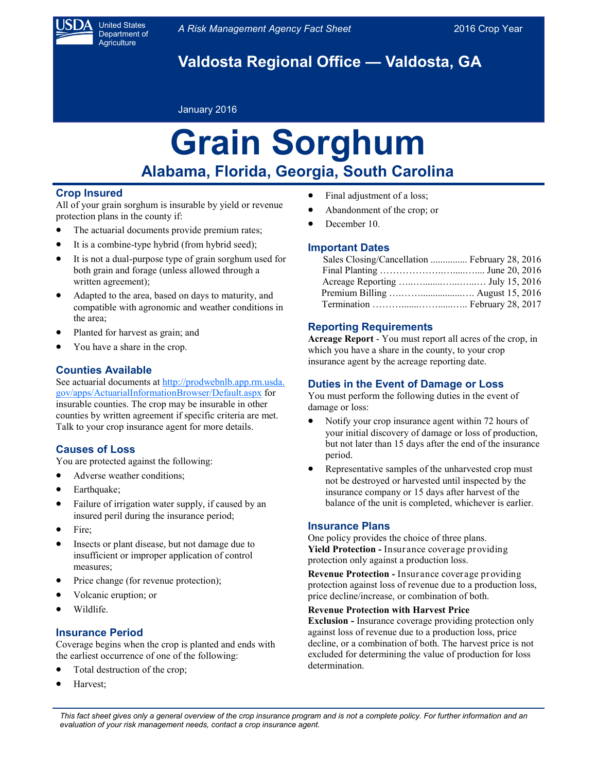

United States Department of **Agriculture** 

**Valdosta Regional Office — Valdosta, GA**

## January 2016

# **Grain Sorghum Alabama, Florida, Georgia, South Carolina**

# **Crop Insured**

All of your grain sorghum is insurable by yield or revenue protection plans in the county if:

- The actuarial documents provide premium rates;
- It is a combine-type hybrid (from hybrid seed);
- It is not a dual-purpose type of grain sorghum used for both grain and forage (unless allowed through a written agreement);
- Adapted to the area, based on days to maturity, and compatible with agronomic and weather conditions in the area;
- Planted for harvest as grain; and
- You have a share in the crop.

# **Counties Available**

See actuarial documents at http://prodwebnlb.app.rm.usda. [gov/apps/ActuarialInformationBrowser/Default.aspx](http://prodwebnlb.app.rm.usda.gov/apps/ActuarialInformationBrowser/Default.aspx) for insurable counties. The crop may be insurable in other counties by written agreement if specific criteria are met. Talk to your crop insurance agent for more details.

# **Causes of Loss**

You are protected against the following:

- Adverse weather conditions;
- Earthquake;
- Failure of irrigation water supply, if caused by an insured peril during the insurance period;
- Fire:
- Insects or plant disease, but not damage due to insufficient or improper application of control measures;
- Price change (for revenue protection);
- Volcanic eruption; or
- Wildlife.

## **Insurance Period**

Coverage begins when the crop is planted and ends with the earliest occurrence of one of the following:

- Total destruction of the crop;
- Harvest;
- Final adjustment of a loss;
- Abandonment of the crop; or
- December 10.

## **Important Dates**

| Sales Closing/Cancellation  February 28, 2016 |  |
|-----------------------------------------------|--|
|                                               |  |
|                                               |  |
|                                               |  |
|                                               |  |

## **Reporting Requirements**

**Acreage Report** - You must report all acres of the crop, in which you have a share in the county, to your crop insurance agent by the acreage reporting date.

# **Duties in the Event of Damage or Loss**

You must perform the following duties in the event of damage or loss:

- Notify your crop insurance agent within 72 hours of your initial discovery of damage or loss of production, but not later than 15 days after the end of the insurance period.
- Representative samples of the unharvested crop must not be destroyed or harvested until inspected by the insurance company or 15 days after harvest of the balance of the unit is completed, whichever is earlier.

## **Insurance Plans**

One policy provides the choice of three plans. **Yield Protection -** Insurance coverage providing protection only against a production loss.

**Revenue Protection -** Insurance coverage providing protection against loss of revenue due to a production loss, price decline/increase, or combination of both.

#### **Revenue Protection with Harvest Price**

**Exclusion -** Insurance coverage providing protection only against loss of revenue due to a production loss, price decline, or a combination of both. The harvest price is not excluded for determining the value of production for loss determination.

*This fact sheet gives only a general overview of the crop insurance program and is not a complete policy. For further information and an evaluation of your risk management needs, contact a crop insurance agent.*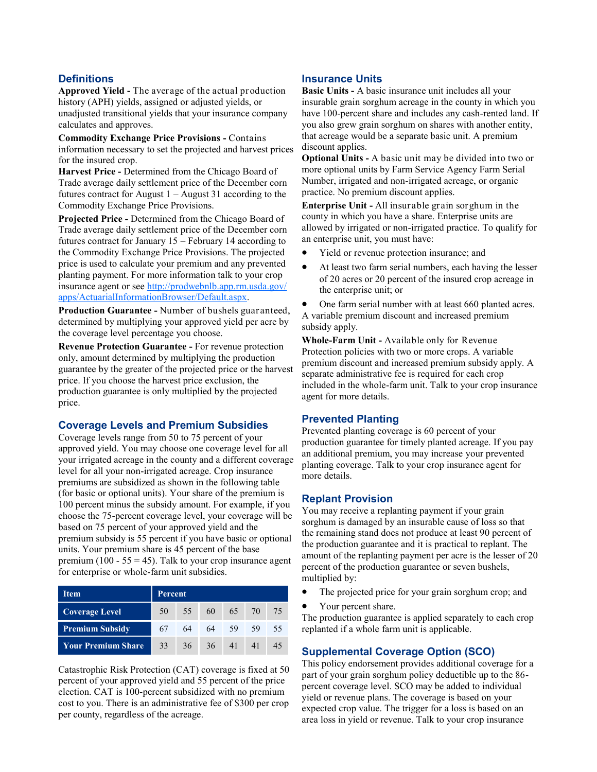# **Definitions**

**Approved Yield -** The average of the actual production history (APH) yields, assigned or adjusted yields, or unadjusted transitional yields that your insurance company calculates and approves.

**Commodity Exchange Price Provisions -** Contains information necessary to set the projected and harvest prices for the insured crop.

**Harvest Price -** Determined from the Chicago Board of Trade average daily settlement price of the December corn futures contract for August  $1 -$ August 31 according to the Commodity Exchange Price Provisions.

**Projected Price -** Determined from the Chicago Board of Trade average daily settlement price of the December corn futures contract for January 15 – February 14 according to the Commodity Exchange Price Provisions. The projected price is used to calculate your premium and any prevented planting payment. For more information talk to your crop insurance agent or see [http://prodwebnlb.app.rm.usda.gov/](http://prodwebnlb.app.rm.usda.gov/apps/ActuarialInformationBrowser/Default.aspx) [apps/ActuarialInformationBrowser/Default.aspx.](http://prodwebnlb.app.rm.usda.gov/apps/ActuarialInformationBrowser/Default.aspx)

**Production Guarantee -** Number of bushels guaranteed, determined by multiplying your approved yield per acre by the coverage level percentage you choose.

**Revenue Protection Guarantee -** For revenue protection only, amount determined by multiplying the production guarantee by the greater of the projected price or the harvest price. If you choose the harvest price exclusion, the production guarantee is only multiplied by the projected price.

## **Coverage Levels and Premium Subsidies**

Coverage levels range from 50 to 75 percent of your approved yield. You may choose one coverage level for all your irrigated acreage in the county and a different coverage level for all your non-irrigated acreage. Crop insurance premiums are subsidized as shown in the following table (for basic or optional units). Your share of the premium is 100 percent minus the subsidy amount. For example, if you choose the 75-percent coverage level, your coverage will be based on 75 percent of your approved yield and the premium subsidy is 55 percent if you have basic or optional units. Your premium share is 45 percent of the base premium (100 - 55 = 45). Talk to your crop insurance agent for enterprise or whole-farm unit subsidies.

| Item                      | <b>Percent</b> |    |                |       |       |    |
|---------------------------|----------------|----|----------------|-------|-------|----|
| <b>Coverage Level</b>     |                |    | 50 55 60 65 70 |       |       | 75 |
| <b>Premium Subsidy</b>    | 67             |    | 64 64          | 59    | 59    | 55 |
| <b>Your Premium Share</b> | $33-1$         | 36 |                | 36 41 | $-41$ | 45 |

Catastrophic Risk Protection (CAT) coverage is fixed at 50 percent of your approved yield and 55 percent of the price election. CAT is 100-percent subsidized with no premium cost to you. There is an administrative fee of \$300 per crop per county, regardless of the acreage.

# **Insurance Units**

**Basic Units -** A basic insurance unit includes all your insurable grain sorghum acreage in the county in which you have 100-percent share and includes any cash-rented land. If you also grew grain sorghum on shares with another entity, that acreage would be a separate basic unit. A premium discount applies.

**Optional Units -** A basic unit may be divided into two or more optional units by Farm Service Agency Farm Serial Number, irrigated and non-irrigated acreage, or organic practice. No premium discount applies.

**Enterprise Unit -** All insurable grain sorghum in the county in which you have a share. Enterprise units are allowed by irrigated or non-irrigated practice. To qualify for an enterprise unit, you must have:

- Yield or revenue protection insurance; and
- At least two farm serial numbers, each having the lesser of 20 acres or 20 percent of the insured crop acreage in the enterprise unit; or
- One farm serial number with at least 660 planted acres.

A variable premium discount and increased premium subsidy apply.

**Whole-Farm Unit -** Available only for Revenue Protection policies with two or more crops. A variable premium discount and increased premium subsidy apply. A separate administrative fee is required for each crop included in the whole-farm unit. Talk to your crop insurance agent for more details.

## **Prevented Planting**

Prevented planting coverage is 60 percent of your production guarantee for timely planted acreage. If you pay an additional premium, you may increase your prevented planting coverage. Talk to your crop insurance agent for more details.

## **Replant Provision**

You may receive a replanting payment if your grain sorghum is damaged by an insurable cause of loss so that the remaining stand does not produce at least 90 percent of the production guarantee and it is practical to replant. The amount of the replanting payment per acre is the lesser of 20 percent of the production guarantee or seven bushels, multiplied by:

- The projected price for your grain sorghum crop; and
- Your percent share.

The production guarantee is applied separately to each crop replanted if a whole farm unit is applicable.

## **Supplemental Coverage Option (SCO)**

This policy endorsement provides additional coverage for a part of your grain sorghum policy deductible up to the 86 percent coverage level. SCO may be added to individual yield or revenue plans. The coverage is based on your expected crop value. The trigger for a loss is based on an area loss in yield or revenue. Talk to your crop insurance